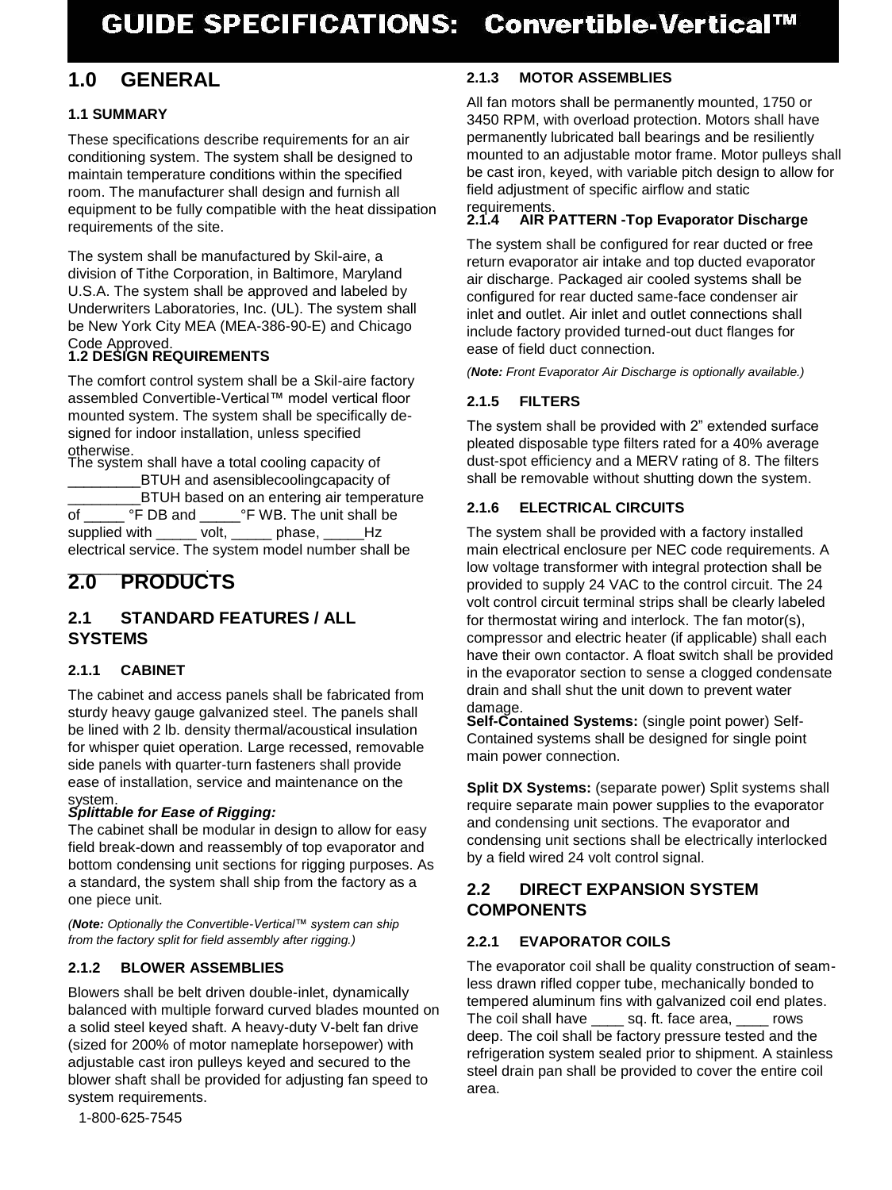# **1.0 GENERAL**

# **1.1 SUMMARY**

These specifications describe requirements for an air conditioning system. The system shall be designed to maintain temperature conditions within the specified room. The manufacturer shall design and furnish all equipment to be fully compatible with the heat dissipation requirements of the site.

The system shall be manufactured by Skil-aire, a division of Tithe Corporation, in Baltimore, Maryland U.S.A. The system shall be approved and labeled by Underwriters Laboratories, Inc. (UL). The system shall be New York City MEA (MEA-386-90-E) and Chicago Code Approved.

# **1.2 DESIGN REQUIREMENTS**

The comfort control system shall be a Skil-aire factory assembled Convertible-Vertical™ model vertical floor mounted system. The system shall be specifically designed for indoor installation, unless specified otherwise.

The system shall have a total cooling capacity of BTUH and asensiblecoolingcapacity of  $\angle$ BTUH based on an entering air temperature<br>
°F DB and  $\degree$ F WB. The unit shall be of \_\_\_\_\_\_\_ °F DB and \_\_\_\_\_\_ °F WB. The unit shall be supplied with \_\_\_\_\_\_ volt, \_\_\_\_\_ phase, \_\_\_\_\_Hz electrical service. The system model number shall be

# \_\_\_\_\_\_\_\_\_\_\_\_\_\_\_\_\_. **2.0 PRODUCTS**

# **2.1 STANDARD FEATURES / ALL SYSTEMS**

# **2.1.1 CABINET**

The cabinet and access panels shall be fabricated from sturdy heavy gauge galvanized steel. The panels shall be lined with 2 lb. density thermal/acoustical insulation for whisper quiet operation. Large recessed, removable side panels with quarter-turn fasteners shall provide ease of installation, service and maintenance on the system.

# *Splittable for Ease of Rigging:*

The cabinet shall be modular in design to allow for easy field break-down and reassembly of top evaporator and bottom condensing unit sections for rigging purposes. As a standard, the system shall ship from the factory as a one piece unit.

*(Note: Optionally the Convertible-Vertical™ system can ship from the factory split for field assembly after rigging.)* 

# **2.1.2 BLOWER ASSEMBLIES**

Blowers shall be belt driven double-inlet, dynamically balanced with multiple forward curved blades mounted on a solid steel keyed shaft. A heavy-duty V-belt fan drive (sized for 200% of motor nameplate horsepower) with adjustable cast iron pulleys keyed and secured to the blower shaft shall be provided for adjusting fan speed to system requirements.

# **2.1.3 MOTOR ASSEMBLIES**

All fan motors shall be permanently mounted, 1750 or 3450 RPM, with overload protection. Motors shall have permanently lubricated ball bearings and be resiliently mounted to an adjustable motor frame. Motor pulleys shall be cast iron, keyed, with variable pitch design to allow for field adjustment of specific airflow and static

#### requirements. **2.1.4 AIR PATTERN -Top Evaporator Discharge**

The system shall be configured for rear ducted or free return evaporator air intake and top ducted evaporator air discharge. Packaged air cooled systems shall be configured for rear ducted same-face condenser air inlet and outlet. Air inlet and outlet connections shall include factory provided turned-out duct flanges for ease of field duct connection.

*(Note: Front Evaporator Air Discharge is optionally available.)* 

# **2.1.5 FILTERS**

The system shall be provided with 2" extended surface pleated disposable type filters rated for a 40% average dust-spot efficiency and a MERV rating of 8. The filters shall be removable without shutting down the system.

# **2.1.6 ELECTRICAL CIRCUITS**

The system shall be provided with a factory installed main electrical enclosure per NEC code requirements. A low voltage transformer with integral protection shall be provided to supply 24 VAC to the control circuit. The 24 volt control circuit terminal strips shall be clearly labeled for thermostat wiring and interlock. The fan motor(s), compressor and electric heater (if applicable) shall each have their own contactor. A float switch shall be provided in the evaporator section to sense a clogged condensate drain and shall shut the unit down to prevent water damage.

**Self-Contained Systems:** (single point power) Self-Contained systems shall be designed for single point main power connection.

**Split DX Systems:** (separate power) Split systems shall require separate main power supplies to the evaporator and condensing unit sections. The evaporator and condensing unit sections shall be electrically interlocked by a field wired 24 volt control signal.

# **2.2 DIRECT EXPANSION SYSTEM COMPONENTS**

# **2.2.1 EVAPORATOR COILS**

The evaporator coil shall be quality construction of seamless drawn rifled copper tube, mechanically bonded to tempered aluminum fins with galvanized coil end plates. The coil shall have sq. ft. face area, rows deep. The coil shall be factory pressure tested and the refrigeration system sealed prior to shipment. A stainless steel drain pan shall be provided to cover the entire coil area.

1-800-625-7545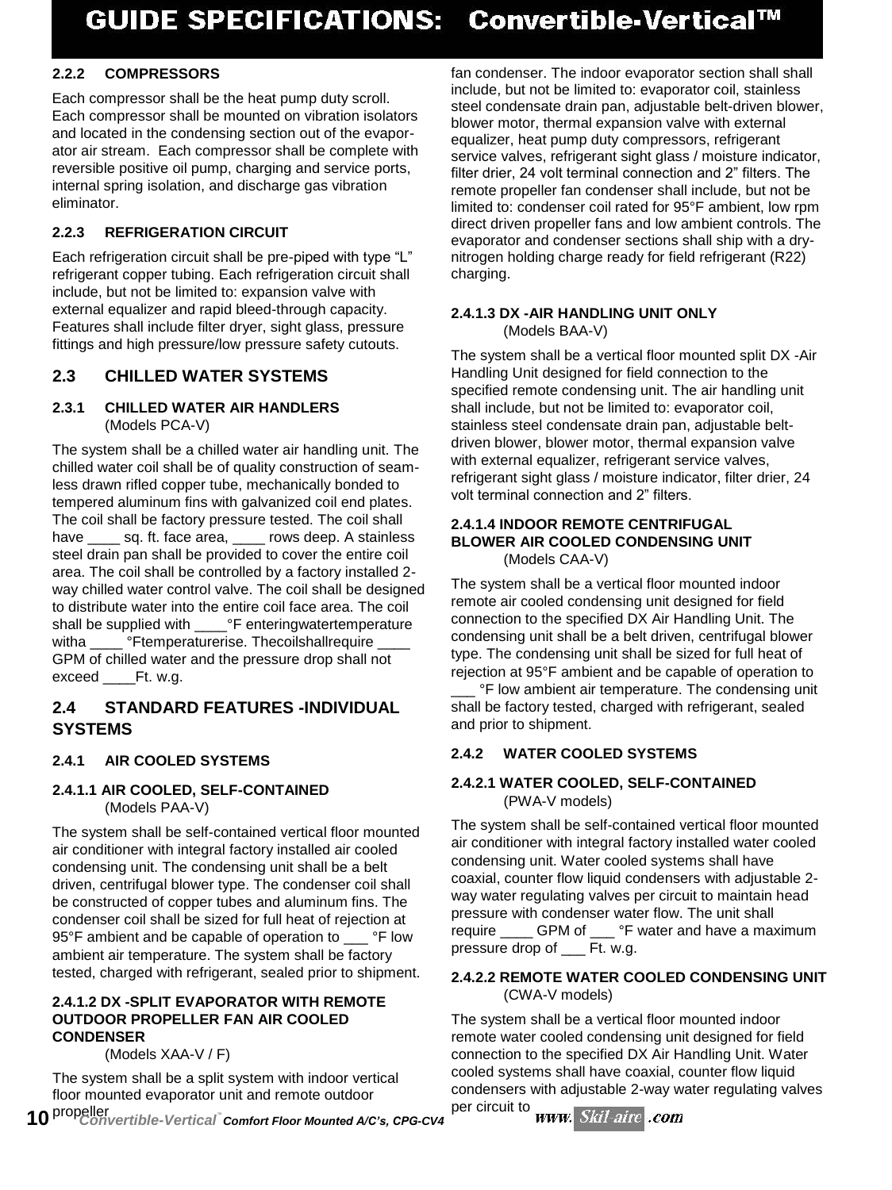# **2.2.2 COMPRESSORS**

Each compressor shall be the heat pump duty scroll. Each compressor shall be mounted on vibration isolators and located in the condensing section out of the evaporator air stream. Each compressor shall be complete with reversible positive oil pump, charging and service ports, internal spring isolation, and discharge gas vibration eliminator.

# **2.2.3 REFRIGERATION CIRCUIT**

Each refrigeration circuit shall be pre-piped with type "L" refrigerant copper tubing. Each refrigeration circuit shall include, but not be limited to: expansion valve with external equalizer and rapid bleed-through capacity. Features shall include filter dryer, sight glass, pressure fittings and high pressure/low pressure safety cutouts.

# **2.3 CHILLED WATER SYSTEMS**

### **2.3.1 CHILLED WATER AIR HANDLERS**  (Models PCA-V)

The system shall be a chilled water air handling unit. The chilled water coil shall be of quality construction of seamless drawn rifled copper tube, mechanically bonded to tempered aluminum fins with galvanized coil end plates. The coil shall be factory pressure tested. The coil shall have sq. ft. face area, rows deep. A stainless steel drain pan shall be provided to cover the entire coil area. The coil shall be controlled by a factory installed 2 way chilled water control valve. The coil shall be designed to distribute water into the entire coil face area. The coil shall be supplied with <sup>or</sup> F enteringwatertemperature witha <sup>o</sup>Ftemperaturerise. Thecoilshallrequire GPM of chilled water and the pressure drop shall not exceed Ft. w.g.

# **2.4 STANDARD FEATURES -INDIVIDUAL SYSTEMS**

# **2.4.1 AIR COOLED SYSTEMS**

# **2.4.1.1 AIR COOLED, SELF-CONTAINED**  (Models PAA-V)

The system shall be self-contained vertical floor mounted air conditioner with integral factory installed air cooled condensing unit. The condensing unit shall be a belt driven, centrifugal blower type. The condenser coil shall be constructed of copper tubes and aluminum fins. The condenser coil shall be sized for full heat of rejection at 95°F ambient and be capable of operation to <sup>ore</sup> low ambient air temperature. The system shall be factory tested, charged with refrigerant, sealed prior to shipment.

#### **2.4.1.2 DX -SPLIT EVAPORATOR WITH REMOTE OUTDOOR PROPELLER FAN AIR COOLED CONDENSER**

(Models XAA-V / F)

The system shall be a split system with indoor vertical floor mounted evaporator unit and remote outdoor

fan condenser. The indoor evaporator section shall shall include, but not be limited to: evaporator coil, stainless steel condensate drain pan, adjustable belt-driven blower, blower motor, thermal expansion valve with external equalizer, heat pump duty compressors, refrigerant service valves, refrigerant sight glass / moisture indicator, filter drier, 24 volt terminal connection and 2" filters. The remote propeller fan condenser shall include, but not be limited to: condenser coil rated for 95°F ambient, low rpm direct driven propeller fans and low ambient controls. The evaporator and condenser sections shall ship with a drynitrogen holding charge ready for field refrigerant (R22) charging.

#### **2.4.1.3 DX -AIR HANDLING UNIT ONLY**  (Models BAA-V)

The system shall be a vertical floor mounted split DX -Air Handling Unit designed for field connection to the specified remote condensing unit. The air handling unit shall include, but not be limited to: evaporator coil, stainless steel condensate drain pan, adjustable beltdriven blower, blower motor, thermal expansion valve with external equalizer, refrigerant service valves, refrigerant sight glass / moisture indicator, filter drier, 24 volt terminal connection and 2" filters.

#### **2.4.1.4 INDOOR REMOTE CENTRIFUGAL BLOWER AIR COOLED CONDENSING UNIT**  (Models CAA-V)

The system shall be a vertical floor mounted indoor remote air cooled condensing unit designed for field connection to the specified DX Air Handling Unit. The condensing unit shall be a belt driven, centrifugal blower type. The condensing unit shall be sized for full heat of rejection at 95°F ambient and be capable of operation to

**PE low ambient air temperature. The condensing unit** shall be factory tested, charged with refrigerant, sealed and prior to shipment.

# **2.4.2 WATER COOLED SYSTEMS**

# **2.4.2.1 WATER COOLED, SELF-CONTAINED**  (PWA-V models)

The system shall be self-contained vertical floor mounted air conditioner with integral factory installed water cooled condensing unit. Water cooled systems shall have coaxial, counter flow liquid condensers with adjustable 2 way water regulating valves per circuit to maintain head pressure with condenser water flow. The unit shall require \_\_\_\_ GPM of \_\_\_ °F water and have a maximum pressure drop of \_\_\_ Ft. w.g.

#### **2.4.2.2 REMOTE WATER COOLED CONDENSING UNIT**  (CWA-V models)

The system shall be a vertical floor mounted indoor remote water cooled condensing unit designed for field connection to the specified DX Air Handling Unit. Water cooled systems shall have coaxial, counter flow liquid condensers with adjustable 2-way water regulating valves<br>per circuit to www. Skil-aire .com

per circuit to **10** *Propeller per circuit to propeller comfort Floor Mounted A/C's, CPG-CV4 CONVERGITY*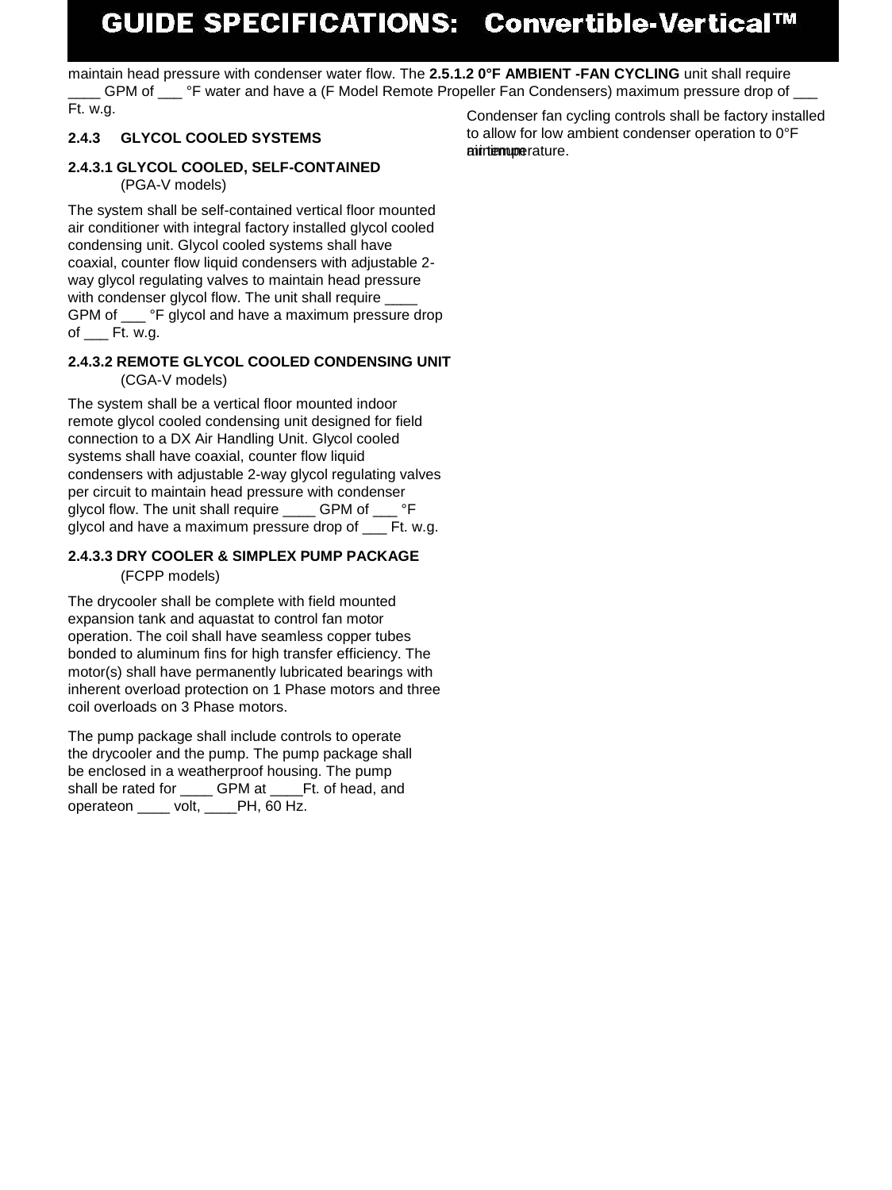# GUIDE SPECIFICATIONS: Convertible-Vertical™

maintain head pressure with condenser water flow. The **2.5.1.2 0°F AMBIENT -FAN CYCLING** unit shall require GPM of orce of F water and have a (F Model Remote Propeller Fan Condensers) maximum pressure drop of Ft. w.g. Condenser fan cycling controls shall be factory installed

# **2.4.3 GLYCOL COOLED SYSTEMS**

#### **2.4.3.1 GLYCOL COOLED, SELF-CONTAINED**  (PGA-V models)

The system shall be self-contained vertical floor mounted air conditioner with integral factory installed glycol cooled condensing unit. Glycol cooled systems shall have coaxial, counter flow liquid condensers with adjustable 2 way glycol regulating valves to maintain head pressure with condenser glycol flow. The unit shall require GPM of \_\_\_ °F glycol and have a maximum pressure drop of Ft. w.g.

#### **2.4.3.2 REMOTE GLYCOL COOLED CONDENSING UNIT**  (CGA-V models)

The system shall be a vertical floor mounted indoor remote glycol cooled condensing unit designed for field connection to a DX Air Handling Unit. Glycol cooled systems shall have coaxial, counter flow liquid condensers with adjustable 2-way glycol regulating valves per circuit to maintain head pressure with condenser glycol flow. The unit shall require \_\_\_\_ GPM of \_\_\_ °F glycol and have a maximum pressure drop of Ft. w.g.

#### **2.4.3.3 DRY COOLER & SIMPLEX PUMP PACKAGE**  (FCPP models)

The drycooler shall be complete with field mounted expansion tank and aquastat to control fan motor operation. The coil shall have seamless copper tubes bonded to aluminum fins for high transfer efficiency. The motor(s) shall have permanently lubricated bearings with inherent overload protection on 1 Phase motors and three coil overloads on 3 Phase motors.

The pump package shall include controls to operate the drycooler and the pump. The pump package shall be enclosed in a weatherproof housing. The pump shall be rated for GPM at Ft. of head, and operateon \_\_\_\_ volt, \_\_\_\_PH, 60 Hz.

to allow for low ambient condenser operation to 0°F **airtempe**rature.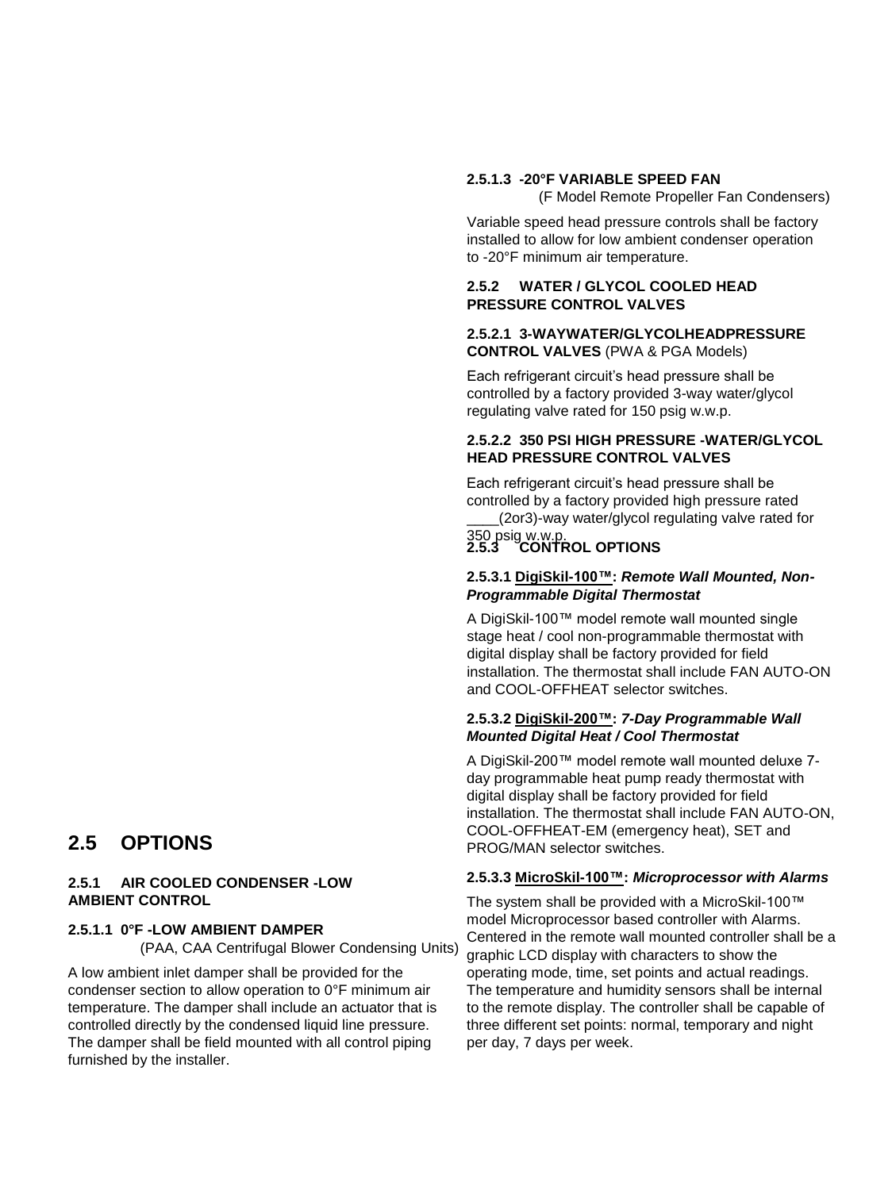#### **2.5.1.3 -20°F VARIABLE SPEED FAN**

(F Model Remote Propeller Fan Condensers)

Variable speed head pressure controls shall be factory installed to allow for low ambient condenser operation to -20°F minimum air temperature.

#### **2.5.2 WATER / GLYCOL COOLED HEAD PRESSURE CONTROL VALVES**

#### **2.5.2.1 3-WAYWATER/GLYCOLHEADPRESSURE CONTROL VALVES** (PWA & PGA Models)

Each refrigerant circuit's head pressure shall be controlled by a factory provided 3-way water/glycol regulating valve rated for 150 psig w.w.p.

#### **2.5.2.2 350 PSI HIGH PRESSURE -WATER/GLYCOL HEAD PRESSURE CONTROL VALVES**

Each refrigerant circuit's head pressure shall be controlled by a factory provided high pressure rated

\_\_\_\_(2or3)-way water/glycol regulating valve rated for 350 psig w.w.p.

#### **2.5.3 CONTROL OPTIONS**

#### **2.5.3.1 DigiSkil-100™:** *Remote Wall Mounted, Non-Programmable Digital Thermostat*

A DigiSkil-100™ model remote wall mounted single stage heat / cool non-programmable thermostat with digital display shall be factory provided for field installation. The thermostat shall include FAN AUTO-ON and COOL-OFFHEAT selector switches.

#### **2.5.3.2 DigiSkil-200™:** *7-Day Programmable Wall Mounted Digital Heat / Cool Thermostat*

A DigiSkil-200™ model remote wall mounted deluxe 7 day programmable heat pump ready thermostat with digital display shall be factory provided for field installation. The thermostat shall include FAN AUTO-ON, COOL-OFFHEAT-EM (emergency heat), SET and PROG/MAN selector switches.

#### **2.5.3.3 MicroSkil-100™:** *Microprocessor with Alarms*

The system shall be provided with a MicroSkil-100™ model Microprocessor based controller with Alarms. Centered in the remote wall mounted controller shall be a graphic LCD display with characters to show the operating mode, time, set points and actual readings. The temperature and humidity sensors shall be internal to the remote display. The controller shall be capable of three different set points: normal, temporary and night per day, 7 days per week.

# **2.5 OPTIONS**

#### **2.5.1 AIR COOLED CONDENSER -LOW AMBIENT CONTROL**

#### **2.5.1.1 0°F -LOW AMBIENT DAMPER**

(PAA, CAA Centrifugal Blower Condensing Units)

A low ambient inlet damper shall be provided for the condenser section to allow operation to 0°F minimum air temperature. The damper shall include an actuator that is controlled directly by the condensed liquid line pressure. The damper shall be field mounted with all control piping furnished by the installer.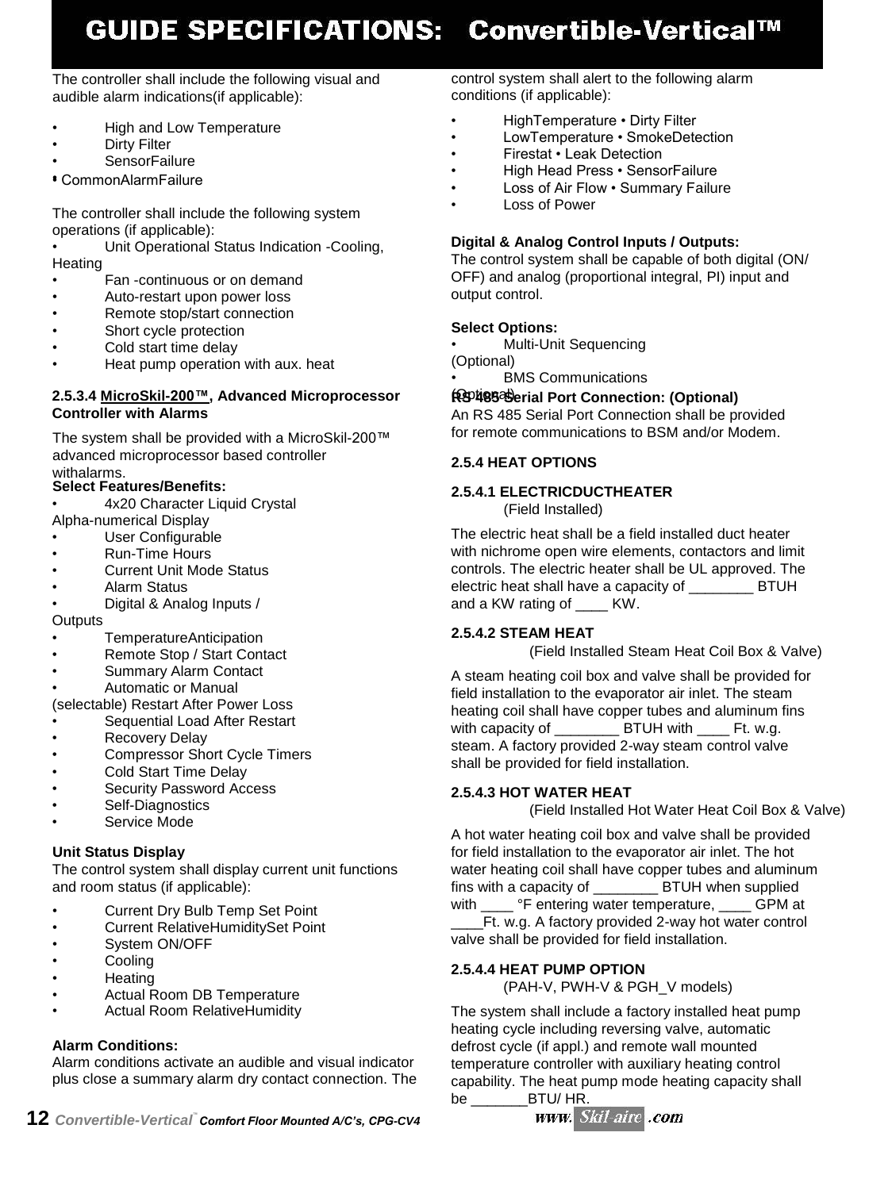# GUIDE SPECIFICATIONS: Convertible-Vertical™

The controller shall include the following visual and audible alarm indications(if applicable):

- High and Low Temperature
- **Dirty Filter**
- SensorFailure

•• CommonAlarmFailure

The controller shall include the following system operations (if applicable):

• Unit Operational Status Indication -Cooling, **Heating** 

- Fan -continuous or on demand
- Auto-restart upon power loss
- Remote stop/start connection
- Short cycle protection
- Cold start time delay
- Heat pump operation with aux. heat

#### **2.5.3.4 MicroSkil-200™, Advanced Microprocessor Controller with Alarms**

The system shall be provided with a MicroSkil-200™ advanced microprocessor based controller withalarms.

### **Select Features/Benefits:**

- 4x20 Character Liquid Crystal Alpha-numerical Display
- User Configurable
- Run-Time Hours
- Current Unit Mode Status
- Alarm Status
- Digital & Analog Inputs /

**Outputs** 

- TemperatureAnticipation
- Remote Stop / Start Contact
- Summary Alarm Contact
- Automatic or Manual

(selectable) Restart After Power Loss

- Sequential Load After Restart
- **Recovery Delay**
- Compressor Short Cycle Timers
- Cold Start Time Delay
- Security Password Access
- Self-Diagnostics
- Service Mode

#### **Unit Status Display**

The control system shall display current unit functions and room status (if applicable):

- Current Dry Bulb Temp Set Point
- Current RelativeHumiditySet Point
- System ON/OFF
- **Cooling**
- Heating
- Actual Room DB Temperature
- Actual Room RelativeHumidity

# **Alarm Conditions:**

Alarm conditions activate an audible and visual indicator plus close a summary alarm dry contact connection. The control system shall alert to the following alarm conditions (if applicable):

- HighTemperature Dirty Filter
- LowTemperature SmokeDetection
- Firestat Leak Detection
- High Head Press SensorFailure
- Loss of Air Flow . Summary Failure
- Loss of Power

#### **Digital & Analog Control Inputs / Outputs:**

The control system shall be capable of both digital (ON/ OFF) and analog (proportional integral, PI) input and output control.

#### **Select Options:**

• Multi-Unit Sequencing (Optional)

• BMS Communications

# (Optional) **RS 485 Serial Port Connection: (Optional)**

An RS 485 Serial Port Connection shall be provided for remote communications to BSM and/or Modem.

#### **2.5.4 HEAT OPTIONS**

#### **2.5.4.1 ELECTRICDUCTHEATER**

(Field Installed)

The electric heat shall be a field installed duct heater with nichrome open wire elements, contactors and limit controls. The electric heater shall be UL approved. The electric heat shall have a capacity of \_\_\_\_\_\_\_\_ BTUH and a KW rating of \_\_\_\_ KW.

# **2.5.4.2 STEAM HEAT**

(Field Installed Steam Heat Coil Box & Valve)

A steam heating coil box and valve shall be provided for field installation to the evaporator air inlet. The steam heating coil shall have copper tubes and aluminum fins with capacity of **BTUH** with Ft. w.g. steam. A factory provided 2-way steam control valve shall be provided for field installation.

#### **2.5.4.3 HOT WATER HEAT**

(Field Installed Hot Water Heat Coil Box & Valve)

A hot water heating coil box and valve shall be provided for field installation to the evaporator air inlet. The hot water heating coil shall have copper tubes and aluminum fins with a capacity of **BTUH** when supplied with \_\_\_\_ °F entering water temperature, \_\_\_\_ GPM at \_\_\_\_Ft. w.g. A factory provided 2-way hot water control valve shall be provided for field installation.

# **2.5.4.4 HEAT PUMP OPTION**

(PAH-V, PWH-V & PGH\_V models)

The system shall include a factory installed heat pump heating cycle including reversing valve, automatic defrost cycle (if appl.) and remote wall mounted temperature controller with auxiliary heating control capability. The heat pump mode heating capacity shall be  $B T U / H R$ .

 $12$  Convertible-Vertical<sup>"</sup> Comfort Floor Mounted A/C's, CPG-CV4

# www. Skil-aire .com